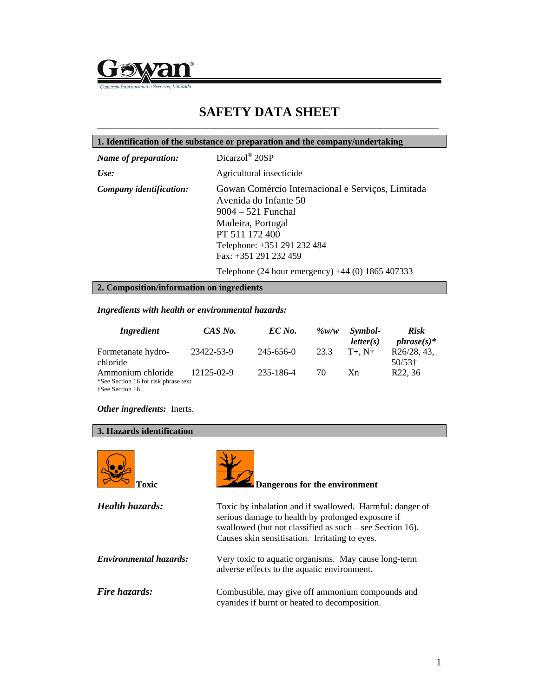

# **SAFETY DATA SHEET** \_\_\_\_\_\_\_\_\_\_\_\_\_\_\_\_\_\_\_\_\_\_\_\_\_\_\_\_\_\_\_\_\_\_\_\_\_\_\_\_\_\_\_\_\_\_\_\_\_\_\_\_\_\_\_\_\_\_\_\_\_\_\_\_\_\_\_\_\_\_\_\_\_\_\_

#### **1. Identification of the substance or preparation and the company/undertaking**

| Name of preparation:    | Dicarzol® 20SP                                                                                                                                                                                    |  |  |
|-------------------------|---------------------------------------------------------------------------------------------------------------------------------------------------------------------------------------------------|--|--|
| Use:                    | Agricultural insecticide                                                                                                                                                                          |  |  |
| Company identification: | Gowan Comércio Internacional e Serviços, Limitada<br>Avenida do Infante 50<br>$9004 - 521$ Funchal<br>Madeira, Portugal<br>PT 511 172 400<br>Telephone: +351 291 232 484<br>Fax: +351 291 232 459 |  |  |
|                         | Telephone (24 hour emergency) $+44$ (0) 1865 407333                                                                                                                                               |  |  |

#### **2. Composition/information on ingredients**

### *Ingredients with health or environmental hazards:*

| <i>Ingredient</i>                                         | CAS No.    | $EC$ No.  | $\frac{\partial w}{\partial w}$ | Symbol-<br>letter(s)  | <b>Risk</b><br>$phrase(s)*$                      |
|-----------------------------------------------------------|------------|-----------|---------------------------------|-----------------------|--------------------------------------------------|
| Formetanate hydro-<br>chloride                            | 23422-53-9 | 245-656-0 | 23.3                            | $T_{+}$ , N $\dagger$ | R <sub>26</sub> /28, 43.<br>$50/53$ <sup>+</sup> |
| Ammonium chloride<br>*See Section 16 for risk phrase text | 12125-02-9 | 235-186-4 | 70                              | Xn                    | R <sub>22</sub> , 36                             |
| <i><b>See Section 16</b></i>                              |            |           |                                 |                       |                                                  |

#### *Other ingredients:* Inerts.

# **3. Hazards identification**

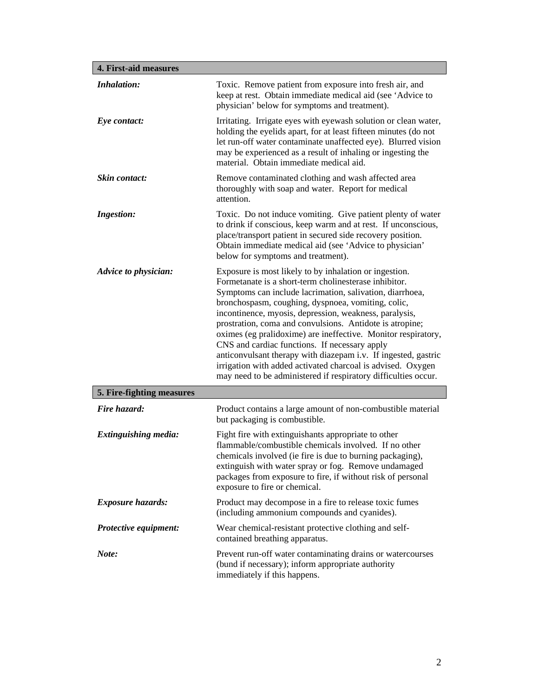| 4. First-aid measures       |                                                                                                                                                                                                                                                                                                                                                                                                                                                                                                                                                                                                                                                                              |
|-----------------------------|------------------------------------------------------------------------------------------------------------------------------------------------------------------------------------------------------------------------------------------------------------------------------------------------------------------------------------------------------------------------------------------------------------------------------------------------------------------------------------------------------------------------------------------------------------------------------------------------------------------------------------------------------------------------------|
| <b>Inhalation:</b>          | Toxic. Remove patient from exposure into fresh air, and<br>keep at rest. Obtain immediate medical aid (see 'Advice to<br>physician' below for symptoms and treatment).                                                                                                                                                                                                                                                                                                                                                                                                                                                                                                       |
| Eye contact:                | Irritating. Irrigate eyes with eyewash solution or clean water,<br>holding the eyelids apart, for at least fifteen minutes (do not<br>let run-off water contaminate unaffected eye). Blurred vision<br>may be experienced as a result of inhaling or ingesting the<br>material. Obtain immediate medical aid.                                                                                                                                                                                                                                                                                                                                                                |
| <b>Skin contact:</b>        | Remove contaminated clothing and wash affected area<br>thoroughly with soap and water. Report for medical<br>attention.                                                                                                                                                                                                                                                                                                                                                                                                                                                                                                                                                      |
| <b>Ingestion:</b>           | Toxic. Do not induce vomiting. Give patient plenty of water<br>to drink if conscious, keep warm and at rest. If unconscious,<br>place/transport patient in secured side recovery position.<br>Obtain immediate medical aid (see 'Advice to physician'<br>below for symptoms and treatment).                                                                                                                                                                                                                                                                                                                                                                                  |
| <b>Advice to physician:</b> | Exposure is most likely to by inhalation or ingestion.<br>Formetanate is a short-term cholinesterase inhibitor.<br>Symptoms can include lacrimation, salivation, diarrhoea,<br>bronchospasm, coughing, dyspnoea, vomiting, colic,<br>incontinence, myosis, depression, weakness, paralysis,<br>prostration, coma and convulsions. Antidote is atropine;<br>oximes (eg pralidoxime) are ineffective. Monitor respiratory,<br>CNS and cardiac functions. If necessary apply<br>anticonvulsant therapy with diazepam i.v. If ingested, gastric<br>irrigation with added activated charcoal is advised. Oxygen<br>may need to be administered if respiratory difficulties occur. |
| 5. Fire-fighting measures   |                                                                                                                                                                                                                                                                                                                                                                                                                                                                                                                                                                                                                                                                              |
| Fire hazard:                | Product contains a large amount of non-combustible material<br>but packaging is combustible.                                                                                                                                                                                                                                                                                                                                                                                                                                                                                                                                                                                 |
| <b>Extinguishing media:</b> | Fight fire with extinguishants appropriate to other<br>flammable/combustible chemicals involved. If no other<br>chemicals involved (ie fire is due to burning packaging),<br>extinguish with water spray or fog. Remove undamaged<br>packages from exposure to fire, if without risk of personal<br>exposure to fire or chemical.                                                                                                                                                                                                                                                                                                                                            |
| <b>Exposure hazards:</b>    | Product may decompose in a fire to release toxic fumes<br>(including ammonium compounds and cyanides).                                                                                                                                                                                                                                                                                                                                                                                                                                                                                                                                                                       |
| Protective equipment:       | Wear chemical-resistant protective clothing and self-<br>contained breathing apparatus.                                                                                                                                                                                                                                                                                                                                                                                                                                                                                                                                                                                      |
| Note:                       | Prevent run-off water contaminating drains or watercourses<br>(bund if necessary); inform appropriate authority<br>immediately if this happens.                                                                                                                                                                                                                                                                                                                                                                                                                                                                                                                              |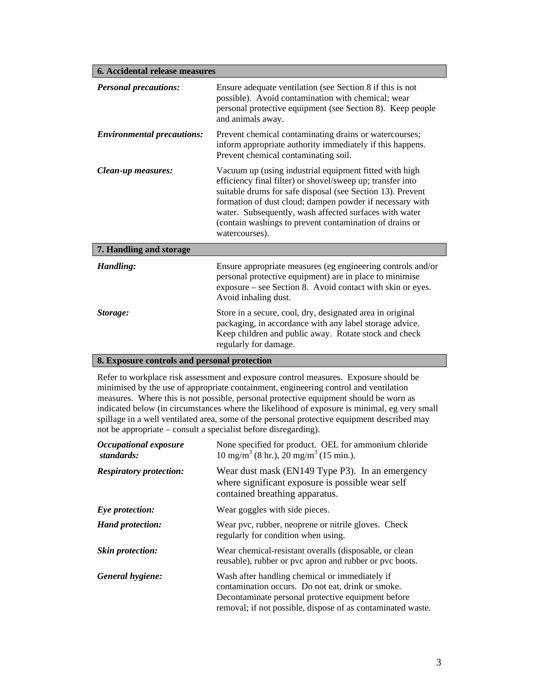| 6. Accidental release measures               |                                                                                                                                                                                                                                                                                                                                                                                       |  |  |
|----------------------------------------------|---------------------------------------------------------------------------------------------------------------------------------------------------------------------------------------------------------------------------------------------------------------------------------------------------------------------------------------------------------------------------------------|--|--|
| <b>Personal precautions:</b>                 | Ensure adequate ventilation (see Section 8 if this is not<br>possible). Avoid contamination with chemical; wear<br>personal protective equipment (see Section 8). Keep people<br>and animals away.                                                                                                                                                                                    |  |  |
| <b>Environmental precautions:</b>            | Prevent chemical contaminating drains or watercourses;<br>inform appropriate authority immediately if this happens.<br>Prevent chemical contaminating soil.                                                                                                                                                                                                                           |  |  |
| Clean-up measures:                           | Vacuum up (using industrial equipment fitted with high<br>efficiency final filter) or shovel/sweep up; transfer into<br>suitable drums for safe disposal (see Section 13). Prevent<br>formation of dust cloud; dampen powder if necessary with<br>water. Subsequently, wash affected surfaces with water<br>(contain washings to prevent contamination of drains or<br>watercourses). |  |  |
| 7. Handling and storage                      |                                                                                                                                                                                                                                                                                                                                                                                       |  |  |
| Handling:                                    | Ensure appropriate measures (eg engineering controls and/or<br>personal protective equipment) are in place to minimise<br>exposure – see Section 8. Avoid contact with skin or eyes.<br>Avoid inhaling dust.                                                                                                                                                                          |  |  |
| Storage:                                     | Store in a secure, cool, dry, designated area in original<br>packaging, in accordance with any label storage advice.<br>Keep children and public away. Rotate stock and check<br>regularly for damage.                                                                                                                                                                                |  |  |
| 8. Exposure controls and personal protection |                                                                                                                                                                                                                                                                                                                                                                                       |  |  |

Refer to workplace risk assessment and exposure control measures. Exposure should be minimised by the use of appropriate containment, engineering control and ventilation measures. Where this is not possible, personal protective equipment should be worn as indicated below (in circumstances where the likelihood of exposure is minimal, eg very small spillage in a well ventilated area, some of the personal protective equipment described may not be appropriate – consult a specialist before disregarding).

| <b>Occupational exposure</b><br>standards: | None specified for product. OEL for ammonium chloride<br>$10 \text{ mg/m}^3$ (8 hr.), $20 \text{ mg/m}^3$ (15 min.).                                                                                                     |
|--------------------------------------------|--------------------------------------------------------------------------------------------------------------------------------------------------------------------------------------------------------------------------|
| <b>Respiratory protection:</b>             | Wear dust mask (EN149 Type P3). In an emergency<br>where significant exposure is possible wear self<br>contained breathing apparatus.                                                                                    |
| Eye protection:                            | Wear goggles with side pieces.                                                                                                                                                                                           |
| <b>Hand protection:</b>                    | Wear pvc, rubber, neoprene or nitrile gloves. Check<br>regularly for condition when using.                                                                                                                               |
| <b>Skin protection:</b>                    | Wear chemical-resistant overalls (disposable, or clean<br>reusable), rubber or pvc apron and rubber or pvc boots.                                                                                                        |
| General hygiene:                           | Wash after handling chemical or immediately if<br>contamination occurs. Do not eat, drink or smoke.<br>Decontaminate personal protective equipment before<br>removal; if not possible, dispose of as contaminated waste. |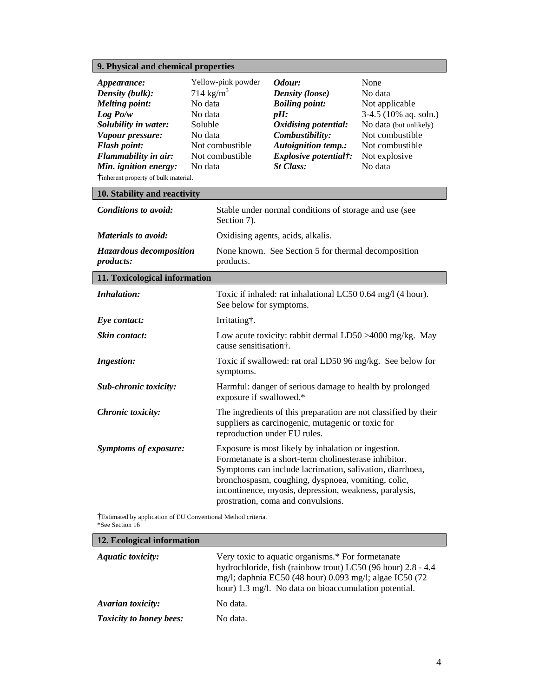# **9. Physical and chemical properties**

| <i>Appearance:</i>                   | Yellow-pink powder   | <i><b>Odour:</b></i>         | None                    |
|--------------------------------------|----------------------|------------------------------|-------------------------|
| Density (bulk):                      | $714 \text{ kg/m}^3$ | <b>Density</b> (loose)       | No data                 |
| <b>Melting point:</b>                | No data              | <b>Boiling point:</b>        | Not applicable          |
| Log Po/w                             | No data              | $\mathbf{p}H$ :              | $3-4.5$ (10% aq. soln.) |
| Solubility in water:                 | Soluble              | Oxidising potential:         | No data (but unlikely)  |
| Vapour pressure:                     | No data              | Combustibility:              | Not combustible         |
| <b>Flash point:</b>                  | Not combustible      | <b>Autoignition temp.:</b>   | Not combustible         |
| Flammability in air:                 | Not combustible      | <i>Explosive potential†:</i> | Not explosive           |
| Min. ignition energy:                | No data              | St Class:                    | No data                 |
| †inherent property of bulk material. |                      |                              |                         |

# **10. Stability and reactivity**

| Conditions to avoid:                               | Stable under normal conditions of storage and use (see<br>Section 7). |
|----------------------------------------------------|-----------------------------------------------------------------------|
| <b>Materials to avoid:</b>                         | Oxidising agents, acids, alkalis.                                     |
| <b>Hazardous decomposition</b><br><i>products:</i> | None known. See Section 5 for thermal decomposition<br>products.      |

# **11. Toxicological information**

| <b>Inhalation:</b>           | Toxic if inhaled: rat inhalational LC50 0.64 mg/l (4 hour).<br>See below for symptoms.                                                                                                                                                                                                                                         |
|------------------------------|--------------------------------------------------------------------------------------------------------------------------------------------------------------------------------------------------------------------------------------------------------------------------------------------------------------------------------|
| Eye contact:                 | Irritating†.                                                                                                                                                                                                                                                                                                                   |
| Skin contact:                | Low acute toxicity: rabbit dermal LD50 >4000 mg/kg. May<br>cause sensitisation†.                                                                                                                                                                                                                                               |
| <i>Ingestion:</i>            | Toxic if swallowed: rat oral LD50 96 mg/kg. See below for<br>symptoms.                                                                                                                                                                                                                                                         |
| Sub-chronic toxicity:        | Harmful: danger of serious damage to health by prolonged<br>exposure if swallowed.*                                                                                                                                                                                                                                            |
| Chronic toxicity:            | The ingredients of this preparation are not classified by their<br>suppliers as carcinogenic, mutagenic or toxic for<br>reproduction under EU rules.                                                                                                                                                                           |
| <b>Symptoms of exposure:</b> | Exposure is most likely by inhalation or ingestion.<br>Formetanate is a short-term cholinesterase inhibitor.<br>Symptoms can include lacrimation, salivation, diarrhoea,<br>bronchospasm, coughing, dyspnoea, vomiting, colic,<br>incontinence, myosis, depression, weakness, paralysis,<br>prostration, coma and convulsions. |

†Estimated by application of EU Conventional Method criteria. \*See Section 16

| 12. Ecological information     |                                                                                                                                                                                                                                       |
|--------------------------------|---------------------------------------------------------------------------------------------------------------------------------------------------------------------------------------------------------------------------------------|
| <i>Aquatic toxicity:</i>       | Very toxic to aquatic organisms.* For formetanate<br>hydrochloride, fish (rainbow trout) LC50 (96 hour) 2.8 - 4.4<br>mg/l; daphnia EC50 (48 hour) 0.093 mg/l; algae IC50 (72<br>hour) 1.3 mg/l. No data on bioaccumulation potential. |
| Avarian toxicity:              | No data.                                                                                                                                                                                                                              |
| <b>Toxicity to honey bees:</b> | No data.                                                                                                                                                                                                                              |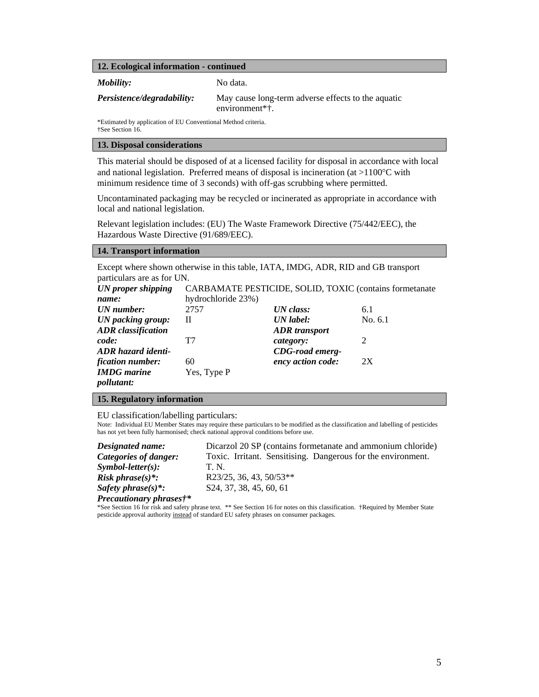#### **12. Ecological information - continued**

*Mobility:* No data.

*Persistence/degradability:* May cause long-term adverse effects to the aquatic environment\*†.

\*Estimated by application of EU Conventional Method criteria. †See Section 16.

#### **13. Disposal considerations**

This material should be disposed of at a licensed facility for disposal in accordance with local and national legislation. Preferred means of disposal is incineration (at >1100°C with minimum residence time of 3 seconds) with off-gas scrubbing where permitted.

Uncontaminated packaging may be recycled or incinerated as appropriate in accordance with local and national legislation.

Relevant legislation includes: (EU) The Waste Framework Directive (75/442/EEC), the Hazardous Waste Directive (91/689/EEC).

#### **14. Transport information**

Except where shown otherwise in this table, IATA, IMDG, ADR, RID and GB transport particulars are as for UN.

| UN proper shipping        |                    | CARBAMATE PESTICIDE, SOLID, TOXIC (contains formetanate |         |
|---------------------------|--------------------|---------------------------------------------------------|---------|
| name:                     | hydrochloride 23%) |                                                         |         |
| UN number:                | 2757               | UN class:                                               | 6.1     |
| UN packing group:         | П                  | UN label:                                               | No. 6.1 |
| <b>ADR</b> classification |                    | <b>ADR</b> transport                                    |         |
| code:                     | T7                 | category:                                               | 2       |
| ADR hazard identi-        |                    | CDG-road emerg-                                         |         |
| fication number:          | 60                 | ency action code:                                       | 2X      |
| <b>IMDG</b> marine        | Yes, Type P        |                                                         |         |
| <i>pollutant:</i>         |                    |                                                         |         |

#### **15. Regulatory information**

EU classification/labelling particulars:

Note: Individual EU Member States may require these particulars to be modified as the classification and labelling of pesticides has not yet been fully harmonised; check national approval conditions before use.

| Designated name:                    | Dicarzol 20 SP (contains formetanate and ammonium chloride)  |  |  |
|-------------------------------------|--------------------------------------------------------------|--|--|
| Categories of danger:               | Toxic. Irritant. Sensitising. Dangerous for the environment. |  |  |
| $Symbol\text{-}letter(s)$ :         | T. N.                                                        |  |  |
| <i>Risk phrase(s)<sup>*</sup></i> : | R23/25, 36, 43, 50/53**                                      |  |  |
| Safety phrase $(s)$ *:              | S24, 37, 38, 45, 60, 61                                      |  |  |
| Precautionary phrases <sup>†*</sup> |                                                              |  |  |

\*See Section 16 for risk and safety phrase text. \*\* See Section 16 for notes on this classification. †Required by Member State pesticide approval authority instead of standard EU safety phrases on consumer packages.